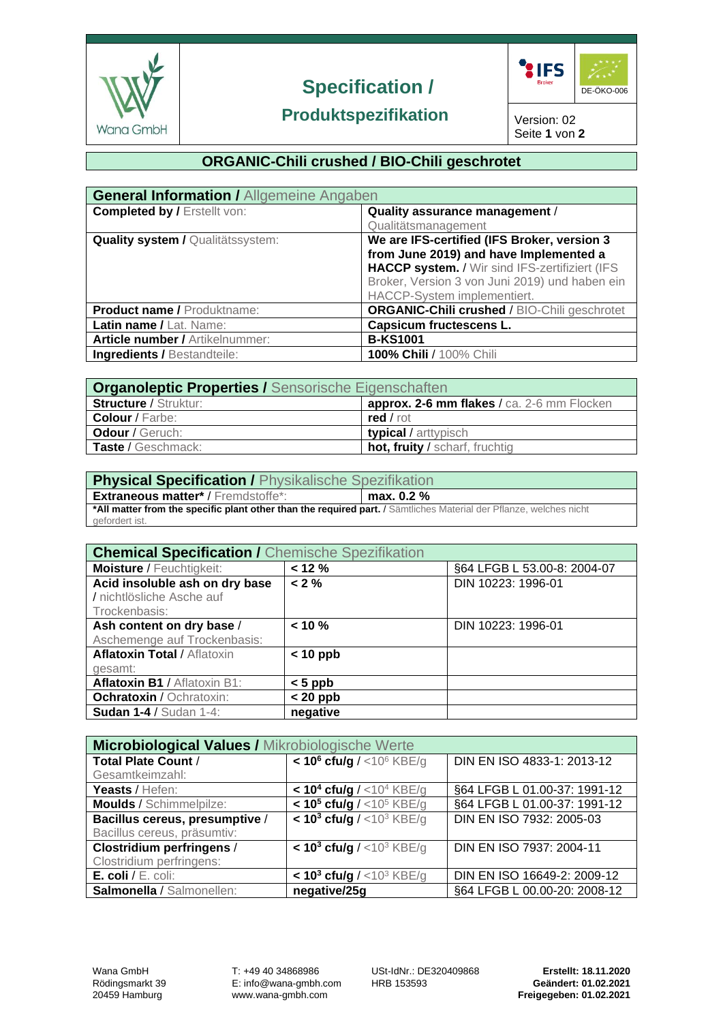

# **Specification /**



## **Produktspezifikation**

Version: 02 Seite **1** von **2**

## **ORGANIC-Chili crushed / BIO-Chili geschrotet**

| <b>General Information / Allgemeine Angaben</b> |                                                     |  |  |
|-------------------------------------------------|-----------------------------------------------------|--|--|
| <b>Completed by / Erstellt von:</b>             | Quality assurance management /                      |  |  |
|                                                 | Qualitätsmanagement                                 |  |  |
| <b>Quality system / Qualitätssystem:</b>        | We are IFS-certified (IFS Broker, version 3         |  |  |
|                                                 | from June 2019) and have Implemented a              |  |  |
|                                                 | HACCP system. / Wir sind IFS-zertifiziert (IFS      |  |  |
|                                                 | Broker, Version 3 von Juni 2019) und haben ein      |  |  |
|                                                 | HACCP-System implementiert.                         |  |  |
| <b>Product name / Produktname:</b>              | <b>ORGANIC-Chili crushed / BIO-Chili geschrotet</b> |  |  |
| Latin name / Lat. Name:                         | <b>Capsicum fructescens L.</b>                      |  |  |
| <b>Article number / Artikelnummer:</b>          | <b>B-KS1001</b>                                     |  |  |
| <b>Ingredients / Bestandteile:</b>              | 100% Chili / 100% Chili                             |  |  |

| <b>Organoleptic Properties / Sensorische Eigenschaften</b> |                                            |  |  |
|------------------------------------------------------------|--------------------------------------------|--|--|
| <b>Structure / Struktur:</b>                               | approx. 2-6 mm flakes / ca. 2-6 mm Flocken |  |  |
| <b>Colour</b> / Farbe:                                     | $red$ / rot                                |  |  |
| <b>Odour</b> / Geruch:                                     | typical / arttypisch                       |  |  |
| Taste / Geschmack:                                         | hot, fruity / scharf, fruchtig             |  |  |

| <b>Physical Specification / Physikalische Spezifikation</b>                                                        |              |  |  |  |
|--------------------------------------------------------------------------------------------------------------------|--------------|--|--|--|
| <b>Extraneous matter*/Fremdstoffe*:</b>                                                                            | max. $0.2\%$ |  |  |  |
| *All matter from the specific plant other than the required part. / Sämtliches Material der Pflanze, welches nicht |              |  |  |  |
| gefordert ist.                                                                                                     |              |  |  |  |

| <b>Chemical Specification / Chemische Spezifikation</b> |            |                             |
|---------------------------------------------------------|------------|-----------------------------|
| <b>Moisture / Feuchtigkeit:</b>                         | < 12 %     | §64 LFGB L 53.00-8: 2004-07 |
| Acid insoluble ash on dry base                          | $< 2 \%$   | DIN 10223: 1996-01          |
| / nichtlösliche Asche auf                               |            |                             |
| Trockenbasis:                                           |            |                             |
| Ash content on dry base /                               | $< 10 \%$  | DIN 10223: 1996-01          |
| Aschemenge auf Trockenbasis:                            |            |                             |
| <b>Aflatoxin Total / Aflatoxin</b>                      | $< 10$ ppb |                             |
| gesamt:                                                 |            |                             |
| Aflatoxin B1 / Aflatoxin B1:                            | $< 5$ ppb  |                             |
| <b>Ochratoxin / Ochratoxin:</b>                         | $< 20$ ppb |                             |
| <b>Sudan 1-4 / Sudan 1-4:</b>                           | negative   |                             |

| Microbiological Values / Mikrobiologische Werte |                                                       |                              |  |  |
|-------------------------------------------------|-------------------------------------------------------|------------------------------|--|--|
| <b>Total Plate Count /</b>                      | $< 10^6$ cfu/g / <10 <sup>6</sup> KBE/g               | DIN EN ISO 4833-1: 2013-12   |  |  |
| Gesamtkeimzahl:                                 |                                                       |                              |  |  |
| Yeasts / Hefen:                                 | $<$ 10 <sup>4</sup> cfu/g / $<$ 10 <sup>4</sup> KBE/g | §64 LFGB L 01.00-37: 1991-12 |  |  |
| <b>Moulds / Schimmelpilze:</b>                  | $< 105$ cfu/g / <10 <sup>5</sup> KBE/g                | §64 LFGB L 01.00-37: 1991-12 |  |  |
| Bacillus cereus, presumptive /                  | $< 103$ cfu/g / <10 <sup>3</sup> KBE/g                | DIN EN ISO 7932: 2005-03     |  |  |
| Bacillus cereus, präsumtiv:                     |                                                       |                              |  |  |
| <b>Clostridium perfringens /</b>                | $< 103$ cfu/g / <10 <sup>3</sup> KBE/g                | DIN EN ISO 7937: 2004-11     |  |  |
| Clostridium perfringens:                        |                                                       |                              |  |  |
| E. coli / $E.$ coli:                            | $<$ 10 <sup>3</sup> cfu/g / <10 <sup>3</sup> KBE/g    | DIN EN ISO 16649-2: 2009-12  |  |  |
| Salmonella / Salmonellen:                       | negative/25g                                          | §64 LFGB L 00.00-20: 2008-12 |  |  |